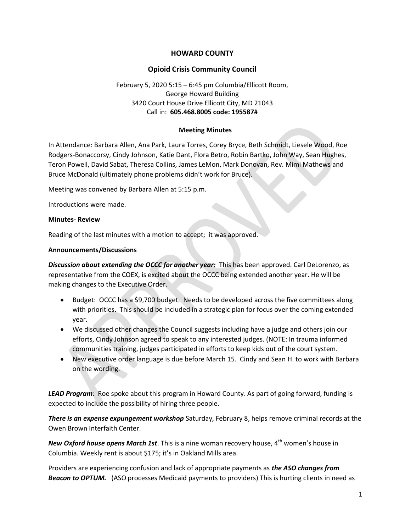# HOWARD COUNTY

### Opioid Crisis Community Council

## February 5, 2020 5:15 – 6:45 pm Columbia/Ellicott Room, George Howard Building 3420 Court House Drive Ellicott City, MD 21043 Call in: 605.468.8005 code: 195587#

#### Meeting Minutes

In Attendance: Barbara Allen, Ana Park, Laura Torres, Corey Bryce, Beth Schmidt, Liesele Wood, Roe Rodgers-Bonaccorsy, Cindy Johnson, Katie Dant, Flora Betro, Robin Bartko, John Way, Sean Hughes, Teron Powell, David Sabat, Theresa Collins, James LeMon, Mark Donovan, Rev. Mimi Mathews and Bruce McDonald (ultimately phone problems didn't work for Bruce).

Meeting was convened by Barbara Allen at 5:15 p.m.

Introductions were made.

#### Minutes- Review

Reading of the last minutes with a motion to accept; it was approved.

#### Announcements/Discussions

Discussion about extending the OCCC for another year: This has been approved. Carl DeLorenzo, as representative from the COEX, is excited about the OCCC being extended another year. He will be making changes to the Executive Order.

- Budget: OCCC has a \$9,700 budget. Needs to be developed across the five committees along with priorities. This should be included in a strategic plan for focus over the coming extended year.
- We discussed other changes the Council suggests including have a judge and others join our efforts, Cindy Johnson agreed to speak to any interested judges. (NOTE: In trauma informed communities training, judges participated in efforts to keep kids out of the court system.
- New executive order language is due before March 15. Cindy and Sean H. to work with Barbara on the wording.

LEAD Program: Roe spoke about this program in Howard County. As part of going forward, funding is expected to include the possibility of hiring three people.

There is an expense expungement workshop Saturday, February 8, helps remove criminal records at the Owen Brown Interfaith Center.

New Oxford house opens March 1st. This is a nine woman recovery house,  $4^{\text{th}}$  women's house in Columbia. Weekly rent is about \$175; it's in Oakland Mills area.

Providers are experiencing confusion and lack of appropriate payments as the ASO changes from Beacon to OPTUM. (ASO processes Medicaid payments to providers) This is hurting clients in need as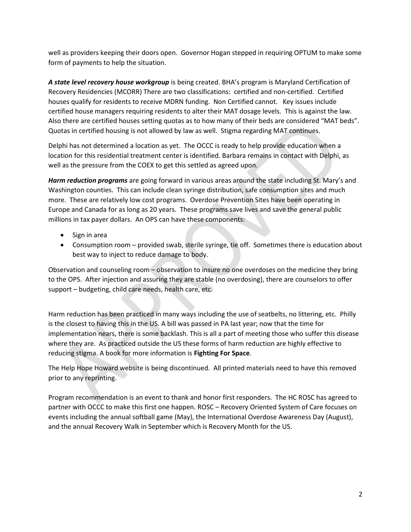well as providers keeping their doors open. Governor Hogan stepped in requiring OPTUM to make some form of payments to help the situation.

A state level recovery house workgroup is being created. BHA's program is Maryland Certification of Recovery Residencies (MCORR) There are two classifications: certified and non-certified. Certified houses qualify for residents to receive MDRN funding. Non Certified cannot. Key issues include certified house managers requiring residents to alter their MAT dosage levels. This is against the law. Also there are certified houses setting quotas as to how many of their beds are considered "MAT beds". Quotas in certified housing is not allowed by law as well. Stigma regarding MAT continues.

Delphi has not determined a location as yet. The OCCC is ready to help provide education when a location for this residential treatment center is identified. Barbara remains in contact with Delphi, as well as the pressure from the COEX to get this settled as agreed upon.

Harm reduction programs are going forward in various areas around the state including St. Mary's and Washington counties. This can include clean syringe distribution, safe consumption sites and much more. These are relatively low cost programs. Overdose Prevention Sites have been operating in Europe and Canada for as long as 20 years. These programs save lives and save the general public millions in tax payer dollars. An OPS can have these components:

- Sign in area
- Consumption room provided swab, sterile syringe, tie off. Sometimes there is education about best way to inject to reduce damage to body.

Observation and counseling room – observation to insure no one overdoses on the medicine they bring to the OPS. After injection and assuring they are stable (no overdosing), there are counselors to offer support – budgeting, child care needs, health care, etc.

Harm reduction has been practiced in many ways including the use of seatbelts, no littering, etc. Philly is the closest to having this in the US. A bill was passed in PA last year; now that the time for implementation nears, there is some backlash. This is all a part of meeting those who suffer this disease where they are. As practiced outside the US these forms of harm reduction are highly effective to reducing stigma. A book for more information is Fighting For Space.

The Help Hope Howard website is being discontinued. All printed materials need to have this removed prior to any reprinting.

Program recommendation is an event to thank and honor first responders. The HC ROSC has agreed to partner with OCCC to make this first one happen. ROSC – Recovery Oriented System of Care focuses on events including the annual softball game (May), the International Overdose Awareness Day (August), and the annual Recovery Walk in September which is Recovery Month for the US.